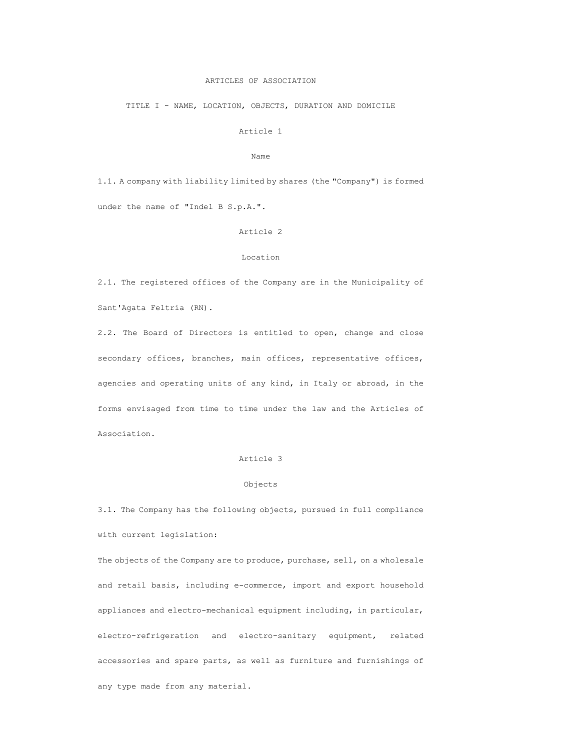## ARTICLES OF ASSOCIATION

TITLE I - NAME, LOCATION, OBJECTS, DURATION AND DOMICILE

Article 1

Name

1.1. A company with liability limited by shares (the "Company") is formed under the name of "Indel B S.p.A.".

#### Article 2

#### Location

2.1. The registered offices of the Company are in the Municipality of Sant'Agata Feltria (RN).

2.2. The Board of Directors is entitled to open, change and close secondary offices, branches, main offices, representative offices, agencies and operating units of any kind, in Italy or abroad, in the forms envisaged from time to time under the law and the Articles of Association.

# Article 3

# Objects

3.1. The Company has the following objects, pursued in full compliance with current legislation:

The objects of the Company are to produce, purchase, sell, on a wholesale and retail basis, including e-commerce, import and export household appliances and electro-mechanical equipment including, in particular, electro-refrigeration and electro-sanitary equipment, related accessories and spare parts, as well as furniture and furnishings of any type made from any material.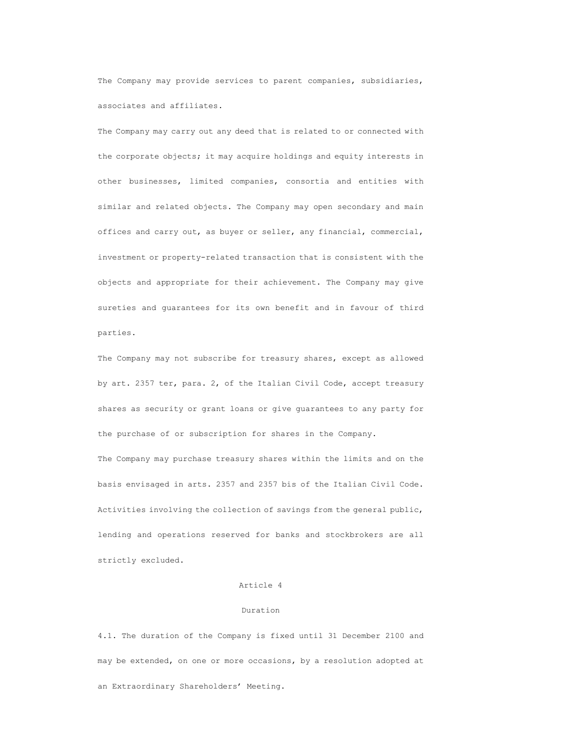The Company may provide services to parent companies, subsidiaries, associates and affiliates.

The Company may carry out any deed that is related to or connected with the corporate objects; it may acquire holdings and equity interests in other businesses, limited companies, consortia and entities with similar and related objects. The Company may open secondary and main offices and carry out, as buyer or seller, any financial, commercial, investment or property-related transaction that is consistent with the objects and appropriate for their achievement. The Company may give sureties and guarantees for its own benefit and in favour of third parties.

The Company may not subscribe for treasury shares, except as allowed by art. 2357 ter, para. 2, of the Italian Civil Code, accept treasury shares as security or grant loans or give guarantees to any party for the purchase of or subscription for shares in the Company. The Company may purchase treasury shares within the limits and on the basis envisaged in arts. 2357 and 2357 bis of the Italian Civil Code. Activities involving the collection of savings from the general public, lending and operations reserved for banks and stockbrokers are all strictly excluded.

### Article 4

#### Duration

4.1. The duration of the Company is fixed until 31 December 2100 and may be extended, on one or more occasions, by a resolution adopted at an Extraordinary Shareholders' Meeting.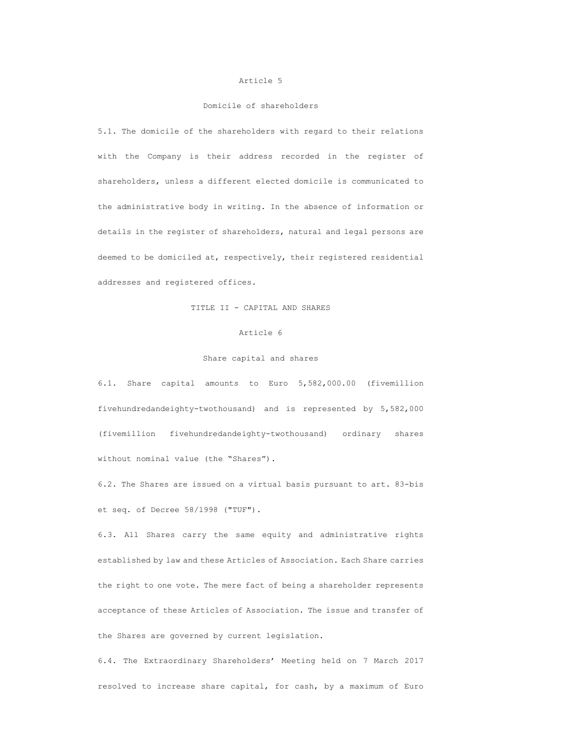#### Article 5

# Domicile of shareholders

5.1. The domicile of the shareholders with regard to their relations with the Company is their address recorded in the register of shareholders, unless a different elected domicile is communicated to the administrative body in writing. In the absence of information or details in the register of shareholders, natural and legal persons are deemed to be domiciled at, respectively, their registered residential addresses and registered offices.

## TITLE II - CAPITAL AND SHARES

## Article 6

# Share capital and shares

6.1. Share capital amounts to Euro 5,582,000.00 (fivemillion fivehundredandeighty-twothousand) and is represented by 5,582,000 (fivemillion fivehundredandeighty-twothousand) ordinary shares without nominal value (the "Shares").

6.2. The Shares are issued on a virtual basis pursuant to art. 83-bis et seq. of Decree 58/1998 ("TUF").

6.3. All Shares carry the same equity and administrative rights established by law and these Articles of Association. Each Share carries the right to one vote. The mere fact of being a shareholder represents acceptance of these Articles of Association. The issue and transfer of the Shares are governed by current legislation.

6.4. The Extraordinary Shareholders' Meeting held on 7 March 2017 resolved to increase share capital, for cash, by a maximum of Euro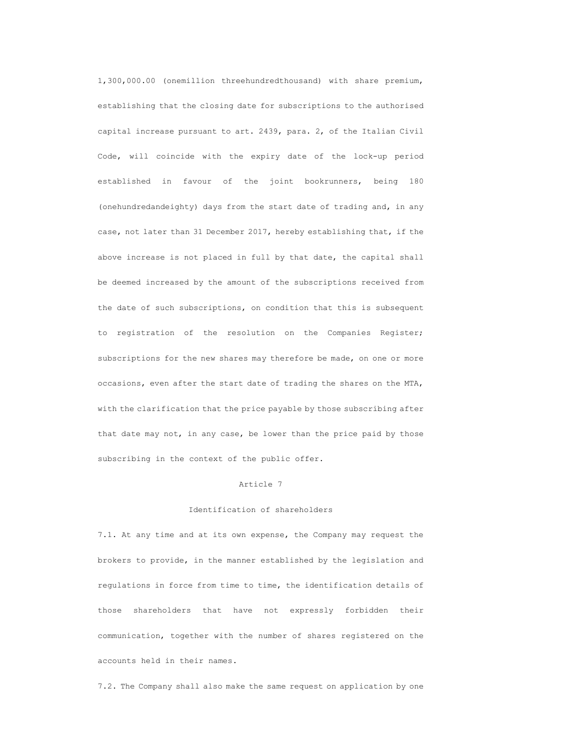1,300,000.00 (onemillion threehundredthousand) with share premium, establishing that the closing date for subscriptions to the authorised capital increase pursuant to art. 2439, para. 2, of the Italian Civil Code, will coincide with the expiry date of the lock-up period established in favour of the joint bookrunners, being 180 (onehundredandeighty) days from the start date of trading and, in any case, not later than 31 December 2017, hereby establishing that, if the above increase is not placed in full by that date, the capital shall be deemed increased by the amount of the subscriptions received from the date of such subscriptions, on condition that this is subsequent to registration of the resolution on the Companies Register; subscriptions for the new shares may therefore be made, on one or more occasions, even after the start date of trading the shares on the MTA, with the clarification that the price payable by those subscribing after that date may not, in any case, be lower than the price paid by those subscribing in the context of the public offer.

### Article 7

# Identification of shareholders

7.1. At any time and at its own expense, the Company may request the brokers to provide, in the manner established by the legislation and regulations in force from time to time, the identification details of those shareholders that have not expressly forbidden their communication, together with the number of shares registered on the accounts held in their names.

7.2. The Company shall also make the same request on application by one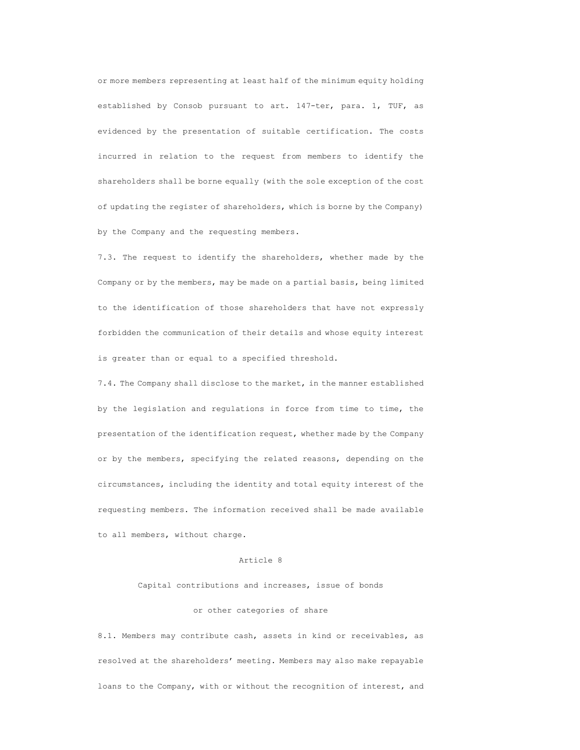or more members representing at least half of the minimum equity holding established by Consob pursuant to art. 147-ter, para. 1, TUF, as evidenced by the presentation of suitable certification. The costs incurred in relation to the request from members to identify the shareholders shall be borne equally (with the sole exception of the cost of updating the register of shareholders, which is borne by the Company) by the Company and the requesting members.

7.3. The request to identify the shareholders, whether made by the Company or by the members, may be made on a partial basis, being limited to the identification of those shareholders that have not expressly forbidden the communication of their details and whose equity interest is greater than or equal to a specified threshold.

7.4. The Company shall disclose to the market, in the manner established by the legislation and regulations in force from time to time, the presentation of the identification request, whether made by the Company or by the members, specifying the related reasons, depending on the circumstances, including the identity and total equity interest of the requesting members. The information received shall be made available to all members, without charge.

### Article 8

# Capital contributions and increases, issue of bonds

## or other categories of share

8.1. Members may contribute cash, assets in kind or receivables, as resolved at the shareholders' meeting. Members may also make repayable loans to the Company, with or without the recognition of interest, and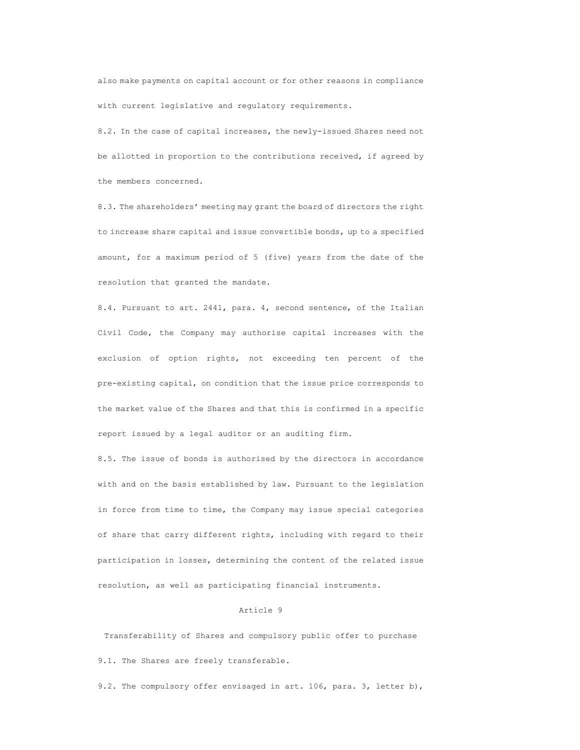also make payments on capital account or for other reasons in compliance with current legislative and regulatory requirements.

8.2. In the case of capital increases, the newly-issued Shares need not be allotted in proportion to the contributions received, if agreed by the members concerned.

8.3. The shareholders' meeting may grant the board of directors the right to increase share capital and issue convertible bonds, up to a specified amount, for a maximum period of 5 (five) years from the date of the resolution that granted the mandate.

8.4. Pursuant to art. 2441, para. 4, second sentence, of the Italian Civil Code, the Company may authorise capital increases with the exclusion of option rights, not exceeding ten percent of the pre-existing capital, on condition that the issue price corresponds to the market value of the Shares and that this is confirmed in a specific report issued by a legal auditor or an auditing firm.

8.5. The issue of bonds is authorised by the directors in accordance with and on the basis established by law. Pursuant to the legislation in force from time to time, the Company may issue special categories of share that carry different rights, including with regard to their participation in losses, determining the content of the related issue resolution, as well as participating financial instruments.

### Article 9

Transferability of Shares and compulsory public offer to purchase 9.1. The Shares are freely transferable.

9.2. The compulsory offer envisaged in art. 106, para. 3, letter b),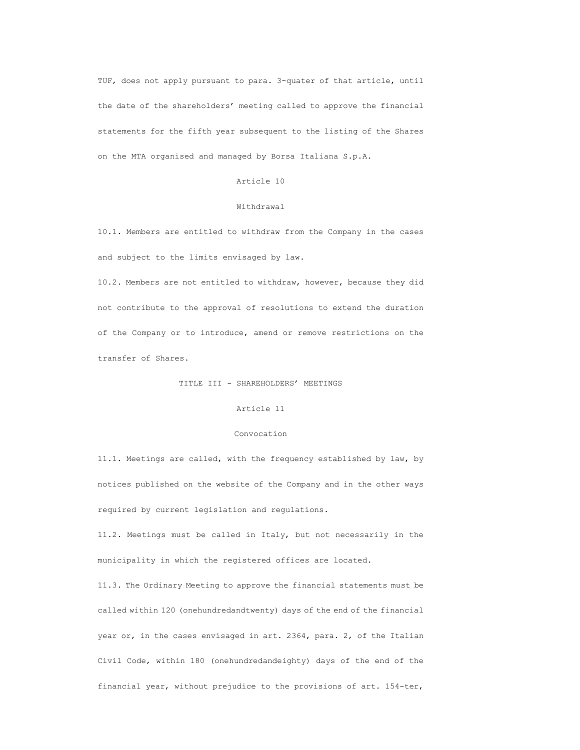TUF, does not apply pursuant to para. 3-quater of that article, until the date of the shareholders' meeting called to approve the financial statements for the fifth year subsequent to the listing of the Shares on the MTA organised and managed by Borsa Italiana S.p.A.

## Article 10

# Withdrawal

10.1. Members are entitled to withdraw from the Company in the cases and subject to the limits envisaged by law.

10.2. Members are not entitled to withdraw, however, because they did not contribute to the approval of resolutions to extend the duration of the Company or to introduce, amend or remove restrictions on the transfer of Shares.

# TITLE III - SHAREHOLDERS' MEETINGS

# Article 11

# Convocation

11.1. Meetings are called, with the frequency established by law, by notices published on the website of the Company and in the other ways required by current legislation and regulations.

11.2. Meetings must be called in Italy, but not necessarily in the municipality in which the registered offices are located.

11.3. The Ordinary Meeting to approve the financial statements must be called within 120 (onehundredandtwenty) days of the end of the financial year or, in the cases envisaged in art. 2364, para. 2, of the Italian Civil Code, within 180 (onehundredandeighty) days of the end of the financial year, without prejudice to the provisions of art. 154-ter,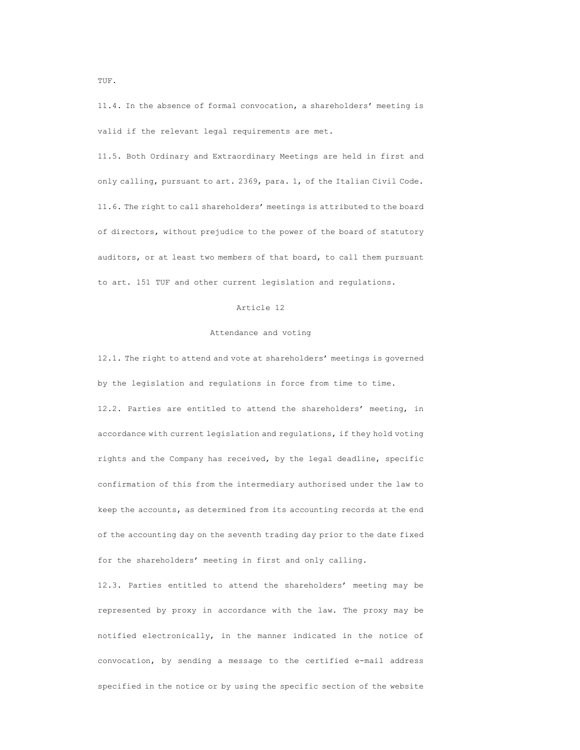11.4. In the absence of formal convocation, a shareholders' meeting is valid if the relevant legal requirements are met.

11.5. Both Ordinary and Extraordinary Meetings are held in first and only calling, pursuant to art. 2369, para. 1, of the Italian Civil Code. 11.6. The right to call shareholders' meetings is attributed to the board of directors, without prejudice to the power of the board of statutory auditors, or at least two members of that board, to call them pursuant to art. 151 TUF and other current legislation and regulations.

# Article 12

### Attendance and voting

12.1. The right to attend and vote at shareholders' meetings is governed by the legislation and regulations in force from time to time.

12.2. Parties are entitled to attend the shareholders' meeting, in accordance with current legislation and regulations, if they hold voting rights and the Company has received, by the legal deadline, specific confirmation of this from the intermediary authorised under the law to keep the accounts, as determined from its accounting records at the end of the accounting day on the seventh trading day prior to the date fixed for the shareholders' meeting in first and only calling.

12.3. Parties entitled to attend the shareholders' meeting may be represented by proxy in accordance with the law. The proxy may be notified electronically, in the manner indicated in the notice of convocation, by sending a message to the certified e-mail address specified in the notice or by using the specific section of the website

TUF.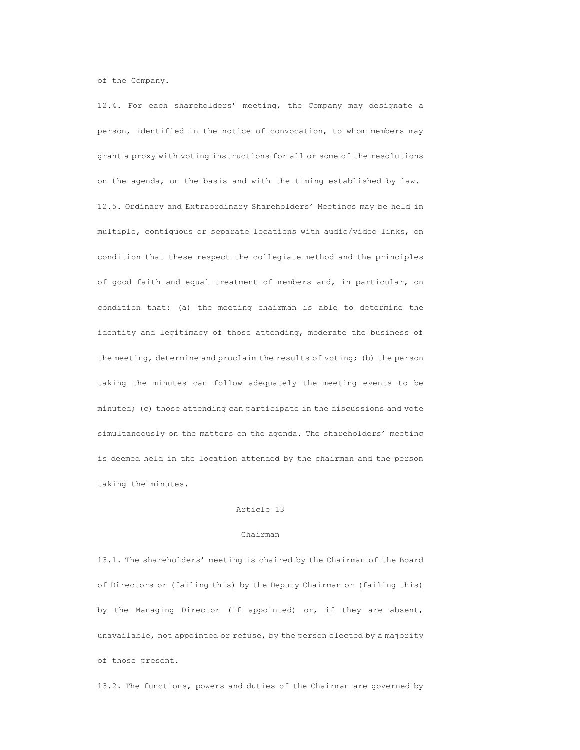of the Company.

12.4. For each shareholders' meeting, the Company may designate a person, identified in the notice of convocation, to whom members may grant a proxy with voting instructions for all or some of the resolutions on the agenda, on the basis and with the timing established by law. 12.5. Ordinary and Extraordinary Shareholders' Meetings may be held in multiple, contiguous or separate locations with audio/video links, on condition that these respect the collegiate method and the principles of good faith and equal treatment of members and, in particular, on condition that: (a) the meeting chairman is able to determine the identity and legitimacy of those attending, moderate the business of the meeting, determine and proclaim the results of voting; (b) the person taking the minutes can follow adequately the meeting events to be minuted; (c) those attending can participate in the discussions and vote simultaneously on the matters on the agenda. The shareholders' meeting is deemed held in the location attended by the chairman and the person taking the minutes.

### Article 13

#### Chairman

13.1. The shareholders' meeting is chaired by the Chairman of the Board of Directors or (failing this) by the Deputy Chairman or (failing this) by the Managing Director (if appointed) or, if they are absent, unavailable, not appointed or refuse, by the person elected by a majority of those present.

13.2. The functions, powers and duties of the Chairman are governed by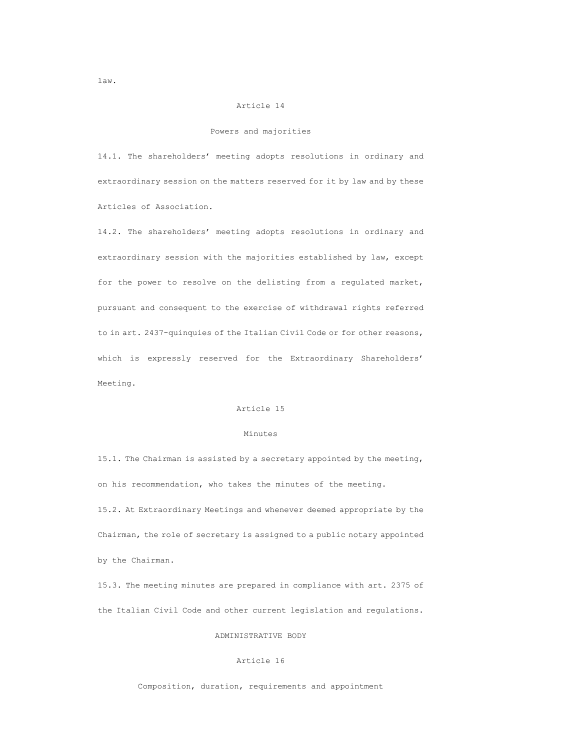# Article 14

### Powers and majorities

14.1. The shareholders' meeting adopts resolutions in ordinary and extraordinary session on the matters reserved for it by law and by these Articles of Association.

14.2. The shareholders' meeting adopts resolutions in ordinary and extraordinary session with the majorities established by law, except for the power to resolve on the delisting from a regulated market, pursuant and consequent to the exercise of withdrawal rights referred to in art. 2437-quinquies of the Italian Civil Code or for other reasons, which is expressly reserved for the Extraordinary Shareholders' Meeting.

# Article 15

# Minutes

15.1. The Chairman is assisted by a secretary appointed by the meeting, on his recommendation, who takes the minutes of the meeting. 15.2. At Extraordinary Meetings and whenever deemed appropriate by the Chairman, the role of secretary is assigned to a public notary appointed by the Chairman.

15.3. The meeting minutes are prepared in compliance with art. 2375 of the Italian Civil Code and other current legislation and regulations.

# ADMINISTRATIVE BODY

# Article 16

Composition, duration, requirements and appointment

law.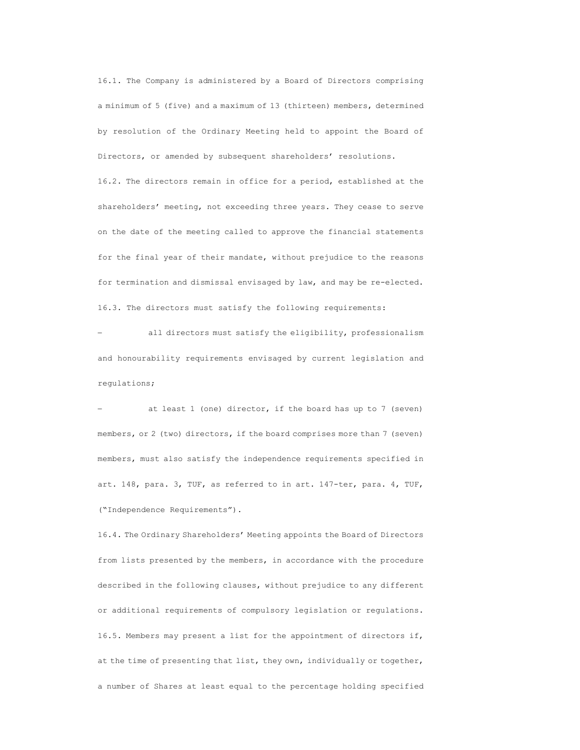16.1. The Company is administered by a Board of Directors comprising a minimum of 5 (five) and a maximum of 13 (thirteen) members, determined by resolution of the Ordinary Meeting held to appoint the Board of Directors, or amended by subsequent shareholders' resolutions.

16.2. The directors remain in office for a period, established at the shareholders' meeting, not exceeding three years. They cease to serve on the date of the meeting called to approve the financial statements for the final year of their mandate, without prejudice to the reasons for termination and dismissal envisaged by law, and may be re-elected. 16.3. The directors must satisfy the following requirements:

 all directors must satisfy the eligibility, professionalism and honourability requirements envisaged by current legislation and regulations;

 at least 1 (one) director, if the board has up to 7 (seven) members, or 2 (two) directors, if the board comprises more than 7 (seven) members, must also satisfy the independence requirements specified in art. 148, para. 3, TUF, as referred to in art. 147-ter, para. 4, TUF, ("Independence Requirements").

16.4. The Ordinary Shareholders' Meeting appoints the Board of Directors from lists presented by the members, in accordance with the procedure described in the following clauses, without prejudice to any different or additional requirements of compulsory legislation or regulations. 16.5. Members may present a list for the appointment of directors if, at the time of presenting that list, they own, individually or together, a number of Shares at least equal to the percentage holding specified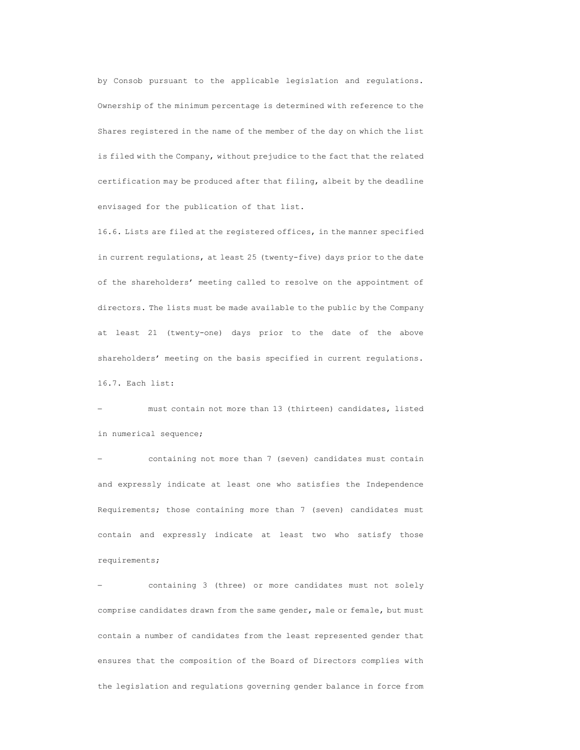by Consob pursuant to the applicable legislation and regulations. Ownership of the minimum percentage is determined with reference to the Shares registered in the name of the member of the day on which the list is filed with the Company, without prejudice to the fact that the related certification may be produced after that filing, albeit by the deadline envisaged for the publication of that list.

16.6. Lists are filed at the registered offices, in the manner specified in current regulations, at least 25 (twenty-five) days prior to the date of the shareholders' meeting called to resolve on the appointment of directors. The lists must be made available to the public by the Company at least 21 (twenty-one) days prior to the date of the above shareholders' meeting on the basis specified in current regulations. 16.7. Each list:

 must contain not more than 13 (thirteen) candidates, listed in numerical sequence;

 containing not more than 7 (seven) candidates must contain and expressly indicate at least one who satisfies the Independence Requirements; those containing more than 7 (seven) candidates must contain and expressly indicate at least two who satisfy those requirements;

 containing 3 (three) or more candidates must not solely comprise candidates drawn from the same gender, male or female, but must contain a number of candidates from the least represented gender that ensures that the composition of the Board of Directors complies with the legislation and regulations governing gender balance in force from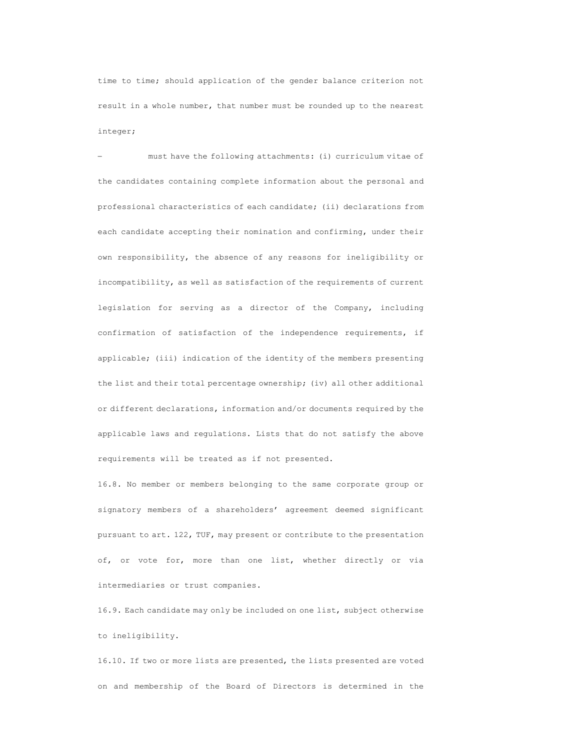time to time; should application of the gender balance criterion not result in a whole number, that number must be rounded up to the nearest integer;

 must have the following attachments: (i) curriculum vitae of the candidates containing complete information about the personal and professional characteristics of each candidate; (ii) declarations from each candidate accepting their nomination and confirming, under their own responsibility, the absence of any reasons for ineligibility or incompatibility, as well as satisfaction of the requirements of current legislation for serving as a director of the Company, including confirmation of satisfaction of the independence requirements, if applicable; (iii) indication of the identity of the members presenting the list and their total percentage ownership; (iv) all other additional or different declarations, information and/or documents required by the applicable laws and regulations. Lists that do not satisfy the above requirements will be treated as if not presented.

16.8. No member or members belonging to the same corporate group or signatory members of a shareholders' agreement deemed significant pursuant to art. 122, TUF, may present or contribute to the presentation of, or vote for, more than one list, whether directly or via intermediaries or trust companies.

16.9. Each candidate may only be included on one list, subject otherwise to ineligibility.

16.10. If two or more lists are presented, the lists presented are voted on and membership of the Board of Directors is determined in the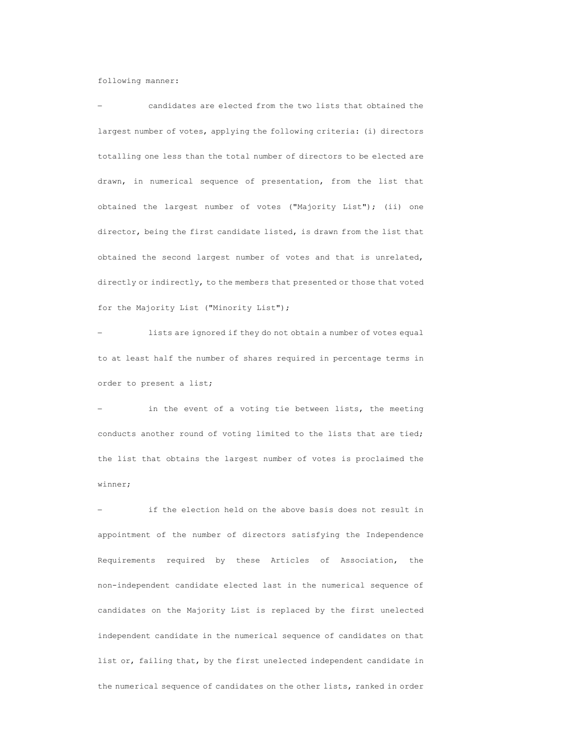following manner:

 candidates are elected from the two lists that obtained the largest number of votes, applying the following criteria: (i) directors totalling one less than the total number of directors to be elected are drawn, in numerical sequence of presentation, from the list that obtained the largest number of votes ("Majority List"); (ii) one director, being the first candidate listed, is drawn from the list that obtained the second largest number of votes and that is unrelated, directly or indirectly, to the members that presented or those that voted for the Majority List ("Minority List");

 lists are ignored if they do not obtain a number of votes equal to at least half the number of shares required in percentage terms in order to present a list;

 in the event of a voting tie between lists, the meeting conducts another round of voting limited to the lists that are tied; the list that obtains the largest number of votes is proclaimed the winner;

 if the election held on the above basis does not result in appointment of the number of directors satisfying the Independence Requirements required by these Articles of Association, the non-independent candidate elected last in the numerical sequence of candidates on the Majority List is replaced by the first unelected independent candidate in the numerical sequence of candidates on that list or, failing that, by the first unelected independent candidate in the numerical sequence of candidates on the other lists, ranked in order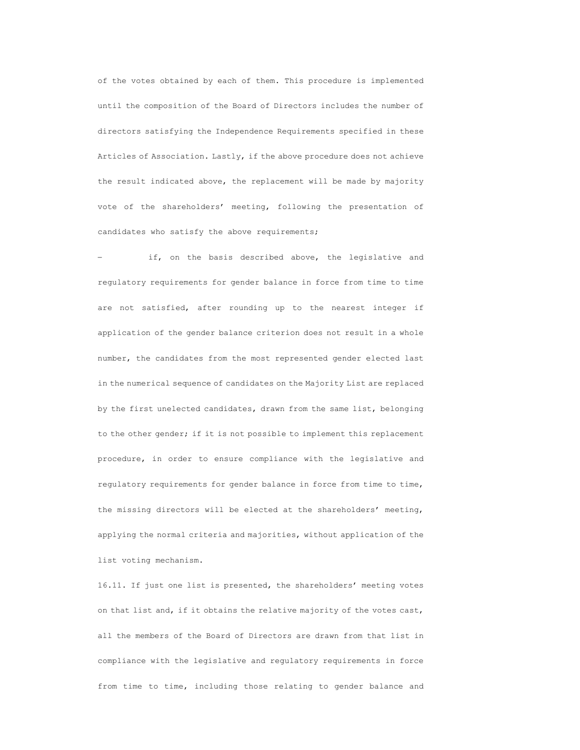of the votes obtained by each of them. This procedure is implemented until the composition of the Board of Directors includes the number of directors satisfying the Independence Requirements specified in these Articles of Association. Lastly, if the above procedure does not achieve the result indicated above, the replacement will be made by majority vote of the shareholders' meeting, following the presentation of candidates who satisfy the above requirements;

 if, on the basis described above, the legislative and regulatory requirements for gender balance in force from time to time are not satisfied, after rounding up to the nearest integer if application of the gender balance criterion does not result in a whole number, the candidates from the most represented gender elected last in the numerical sequence of candidates on the Majority List are replaced by the first unelected candidates, drawn from the same list, belonging to the other gender; if it is not possible to implement this replacement procedure, in order to ensure compliance with the legislative and regulatory requirements for gender balance in force from time to time, the missing directors will be elected at the shareholders' meeting, applying the normal criteria and majorities, without application of the list voting mechanism.

16.11. If just one list is presented, the shareholders' meeting votes on that list and, if it obtains the relative majority of the votes cast, all the members of the Board of Directors are drawn from that list in compliance with the legislative and regulatory requirements in force from time to time, including those relating to gender balance and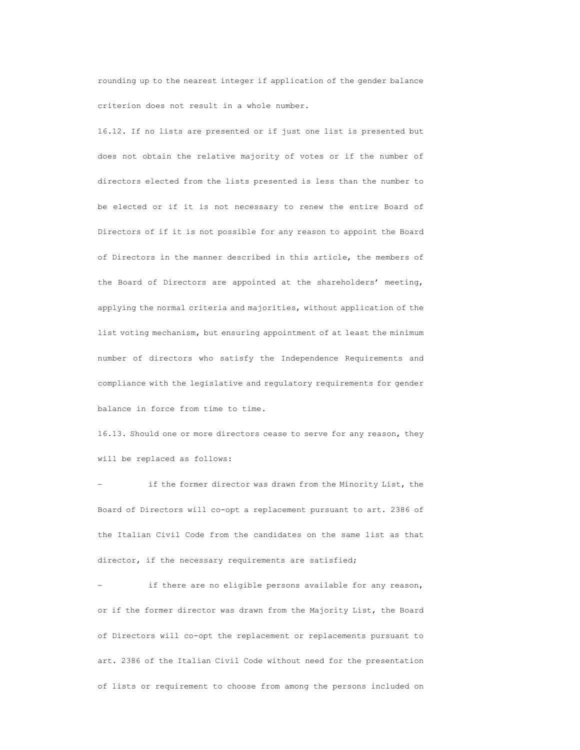rounding up to the nearest integer if application of the gender balance criterion does not result in a whole number.

16.12. If no lists are presented or if just one list is presented but does not obtain the relative majority of votes or if the number of directors elected from the lists presented is less than the number to be elected or if it is not necessary to renew the entire Board of Directors of if it is not possible for any reason to appoint the Board of Directors in the manner described in this article, the members of the Board of Directors are appointed at the shareholders' meeting, applying the normal criteria and majorities, without application of the list voting mechanism, but ensuring appointment of at least the minimum number of directors who satisfy the Independence Requirements and compliance with the legislative and regulatory requirements for gender balance in force from time to time.

16.13. Should one or more directors cease to serve for any reason, they will be replaced as follows:

 if the former director was drawn from the Minority List, the Board of Directors will co-opt a replacement pursuant to art. 2386 of the Italian Civil Code from the candidates on the same list as that director, if the necessary requirements are satisfied;

 if there are no eligible persons available for any reason, or if the former director was drawn from the Majority List, the Board of Directors will co-opt the replacement or replacements pursuant to art. 2386 of the Italian Civil Code without need for the presentation of lists or requirement to choose from among the persons included on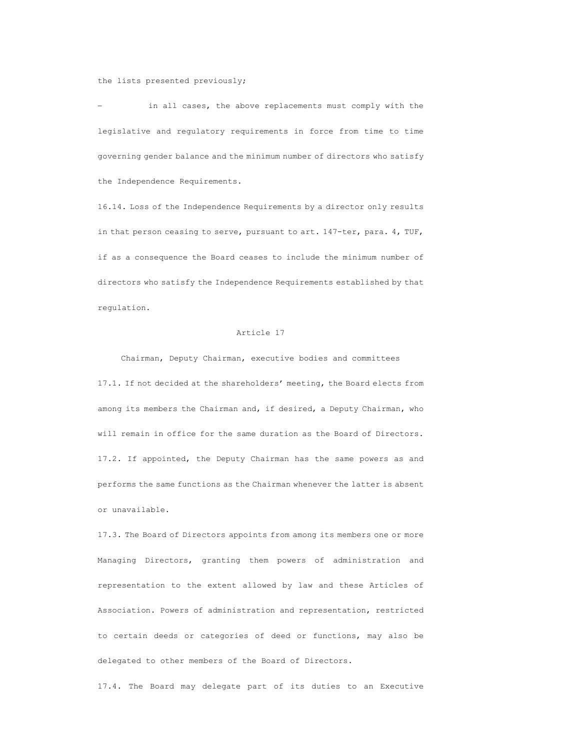#### the lists presented previously;

 in all cases, the above replacements must comply with the legislative and regulatory requirements in force from time to time governing gender balance and the minimum number of directors who satisfy the Independence Requirements.

16.14. Loss of the Independence Requirements by a director only results in that person ceasing to serve, pursuant to art. 147-ter, para. 4, TUF, if as a consequence the Board ceases to include the minimum number of directors who satisfy the Independence Requirements established by that regulation.

# Article 17

Chairman, Deputy Chairman, executive bodies and committees 17.1. If not decided at the shareholders' meeting, the Board elects from among its members the Chairman and, if desired, a Deputy Chairman, who will remain in office for the same duration as the Board of Directors. 17.2. If appointed, the Deputy Chairman has the same powers as and performs the same functions as the Chairman whenever the latter is absent or unavailable.

17.3. The Board of Directors appoints from among its members one or more Managing Directors, granting them powers of administration and representation to the extent allowed by law and these Articles of Association. Powers of administration and representation, restricted to certain deeds or categories of deed or functions, may also be delegated to other members of the Board of Directors.

17.4. The Board may delegate part of its duties to an Executive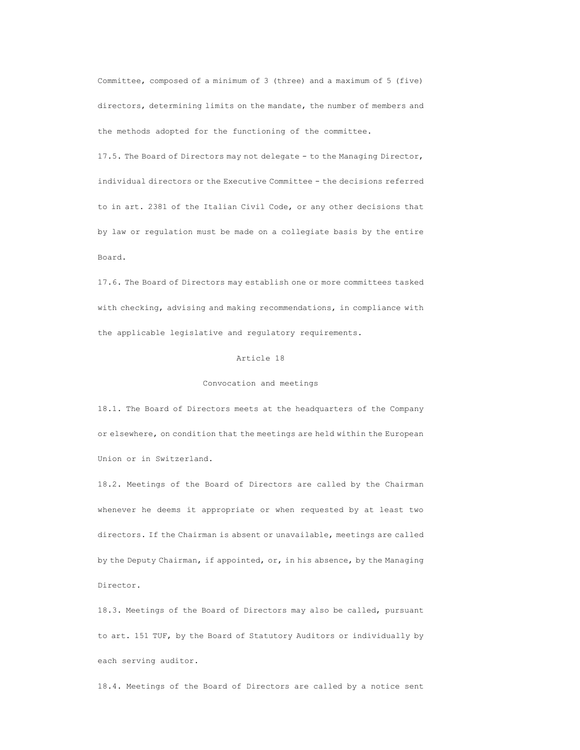Committee, composed of a minimum of 3 (three) and a maximum of 5 (five) directors, determining limits on the mandate, the number of members and the methods adopted for the functioning of the committee.

17.5. The Board of Directors may not delegate - to the Managing Director, individual directors or the Executive Committee - the decisions referred to in art. 2381 of the Italian Civil Code, or any other decisions that by law or regulation must be made on a collegiate basis by the entire Board.

17.6. The Board of Directors may establish one or more committees tasked with checking, advising and making recommendations, in compliance with the applicable legislative and regulatory requirements.

# Article 18

### Convocation and meetings

18.1. The Board of Directors meets at the headquarters of the Company or elsewhere, on condition that the meetings are held within the European Union or in Switzerland.

18.2. Meetings of the Board of Directors are called by the Chairman whenever he deems it appropriate or when requested by at least two directors. If the Chairman is absent or unavailable, meetings are called by the Deputy Chairman, if appointed, or, in his absence, by the Managing Director.

18.3. Meetings of the Board of Directors may also be called, pursuant to art. 151 TUF, by the Board of Statutory Auditors or individually by each serving auditor.

18.4. Meetings of the Board of Directors are called by a notice sent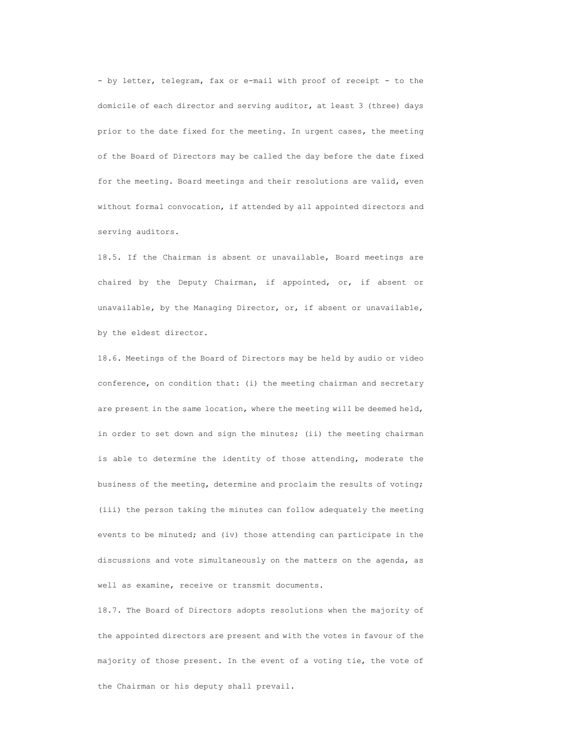- by letter, telegram, fax or e-mail with proof of receipt - to the domicile of each director and serving auditor, at least 3 (three) days prior to the date fixed for the meeting. In urgent cases, the meeting of the Board of Directors may be called the day before the date fixed for the meeting. Board meetings and their resolutions are valid, even without formal convocation, if attended by all appointed directors and serving auditors.

18.5. If the Chairman is absent or unavailable, Board meetings are chaired by the Deputy Chairman, if appointed, or, if absent or unavailable, by the Managing Director, or, if absent or unavailable, by the eldest director.

18.6. Meetings of the Board of Directors may be held by audio or video conference, on condition that: (i) the meeting chairman and secretary are present in the same location, where the meeting will be deemed held, in order to set down and sign the minutes; (ii) the meeting chairman is able to determine the identity of those attending, moderate the business of the meeting, determine and proclaim the results of voting; (iii) the person taking the minutes can follow adequately the meeting events to be minuted; and (iv) those attending can participate in the discussions and vote simultaneously on the matters on the agenda, as well as examine, receive or transmit documents.

18.7. The Board of Directors adopts resolutions when the majority of the appointed directors are present and with the votes in favour of the majority of those present. In the event of a voting tie, the vote of the Chairman or his deputy shall prevail.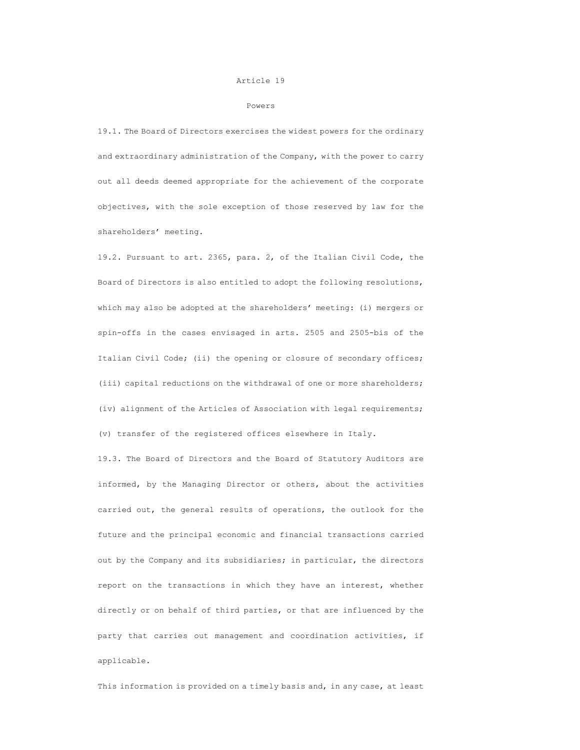#### Article 19

#### Powers

19.1. The Board of Directors exercises the widest powers for the ordinary and extraordinary administration of the Company, with the power to carry out all deeds deemed appropriate for the achievement of the corporate objectives, with the sole exception of those reserved by law for the shareholders' meeting.

19.2. Pursuant to art. 2365, para. 2, of the Italian Civil Code, the Board of Directors is also entitled to adopt the following resolutions, which may also be adopted at the shareholders' meeting: (i) mergers or spin-offs in the cases envisaged in arts. 2505 and 2505-bis of the Italian Civil Code; (ii) the opening or closure of secondary offices; (iii) capital reductions on the withdrawal of one or more shareholders; (iv) alignment of the Articles of Association with legal requirements; (v) transfer of the registered offices elsewhere in Italy.

19.3. The Board of Directors and the Board of Statutory Auditors are informed, by the Managing Director or others, about the activities carried out, the general results of operations, the outlook for the future and the principal economic and financial transactions carried out by the Company and its subsidiaries; in particular, the directors report on the transactions in which they have an interest, whether directly or on behalf of third parties, or that are influenced by the party that carries out management and coordination activities, if applicable.

This information is provided on a timely basis and, in any case, at least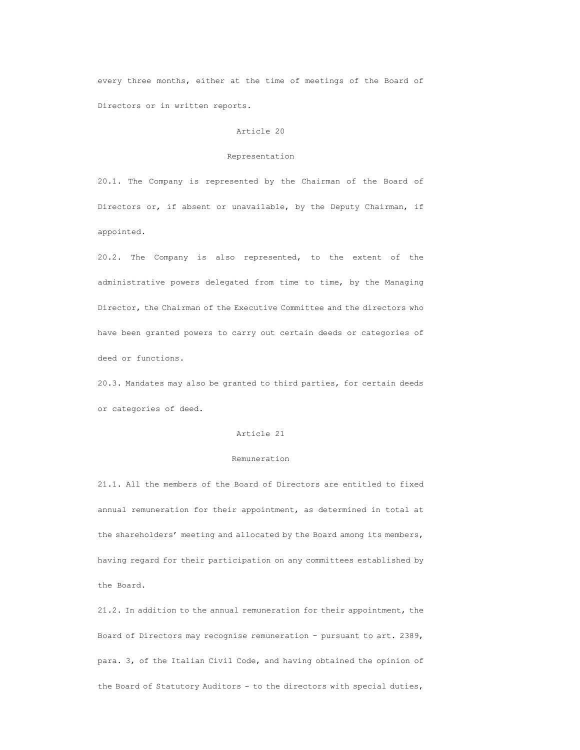every three months, either at the time of meetings of the Board of Directors or in written reports.

## Article 20

### Representation

20.1. The Company is represented by the Chairman of the Board of Directors or, if absent or unavailable, by the Deputy Chairman, if appointed.

20.2. The Company is also represented, to the extent of the administrative powers delegated from time to time, by the Managing Director, the Chairman of the Executive Committee and the directors who have been granted powers to carry out certain deeds or categories of deed or functions.

20.3. Mandates may also be granted to third parties, for certain deeds or categories of deed.

## Article 21

### Remuneration

21.1. All the members of the Board of Directors are entitled to fixed annual remuneration for their appointment, as determined in total at the shareholders' meeting and allocated by the Board among its members, having regard for their participation on any committees established by the Board.

21.2. In addition to the annual remuneration for their appointment, the Board of Directors may recognise remuneration - pursuant to art. 2389, para. 3, of the Italian Civil Code, and having obtained the opinion of the Board of Statutory Auditors - to the directors with special duties,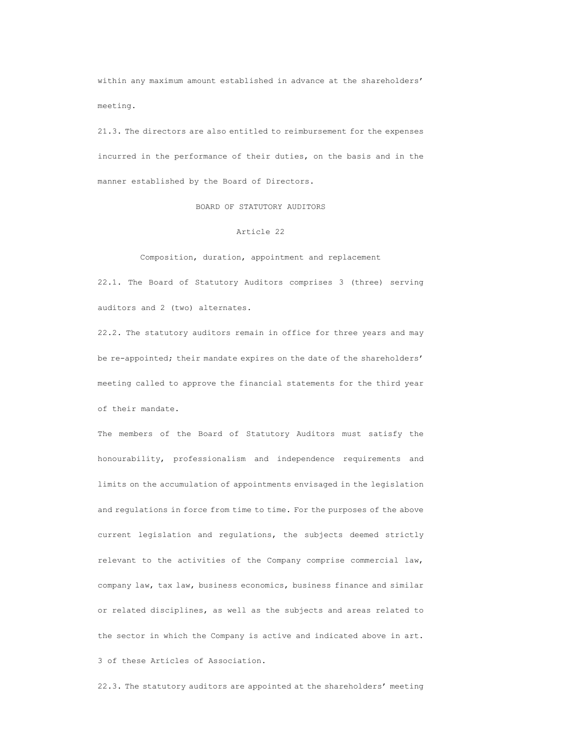within any maximum amount established in advance at the shareholders' meeting.

21.3. The directors are also entitled to reimbursement for the expenses incurred in the performance of their duties, on the basis and in the manner established by the Board of Directors.

BOARD OF STATUTORY AUDITORS

#### Article 22

Composition, duration, appointment and replacement

22.1. The Board of Statutory Auditors comprises 3 (three) serving auditors and 2 (two) alternates.

22.2. The statutory auditors remain in office for three years and may be re-appointed; their mandate expires on the date of the shareholders' meeting called to approve the financial statements for the third year of their mandate.

The members of the Board of Statutory Auditors must satisfy the honourability, professionalism and independence requirements and limits on the accumulation of appointments envisaged in the legislation and regulations in force from time to time. For the purposes of the above current legislation and regulations, the subjects deemed strictly relevant to the activities of the Company comprise commercial law, company law, tax law, business economics, business finance and similar or related disciplines, as well as the subjects and areas related to the sector in which the Company is active and indicated above in art. 3 of these Articles of Association.

22.3. The statutory auditors are appointed at the shareholders' meeting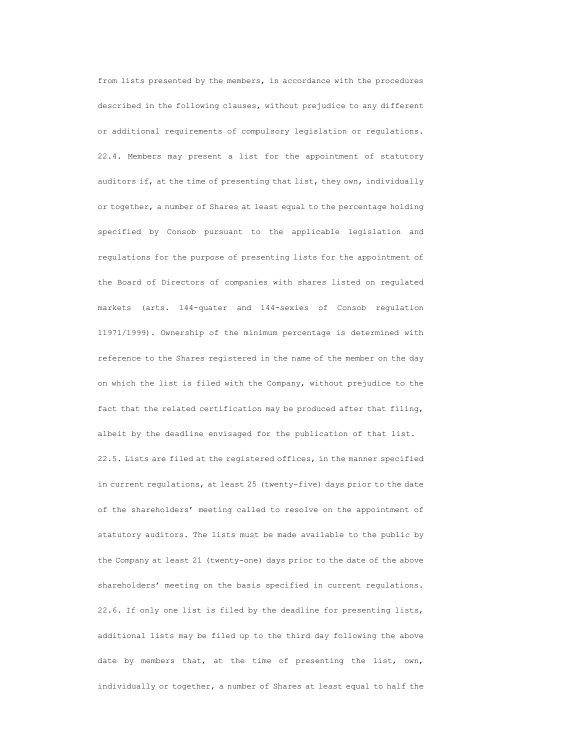from lists presented by the members, in accordance with the procedures described in the following clauses, without prejudice to any different or additional requirements of compulsory legislation or regulations. 22.4. Members may present a list for the appointment of statutory auditors if, at the time of presenting that list, they own, individually or together, a number of Shares at least equal to the percentage holding specified by Consob pursuant to the applicable legislation and regulations for the purpose of presenting lists for the appointment of the Board of Directors of companies with shares listed on regulated markets (arts. 144-quater and 144-sexies of Consob regulation 11971/1999). Ownership of the minimum percentage is determined with reference to the Shares registered in the name of the member on the day on which the list is filed with the Company, without prejudice to the fact that the related certification may be produced after that filing, albeit by the deadline envisaged for the publication of that list. 22.5. Lists are filed at the registered offices, in the manner specified in current regulations, at least 25 (twenty-five) days prior to the date of the shareholders' meeting called to resolve on the appointment of statutory auditors. The lists must be made available to the public by the Company at least 21 (twenty-one) days prior to the date of the above shareholders' meeting on the basis specified in current regulations. 22.6. If only one list is filed by the deadline for presenting lists, additional lists may be filed up to the third day following the above date by members that, at the time of presenting the list, own, individually or together, a number of Shares at least equal to half the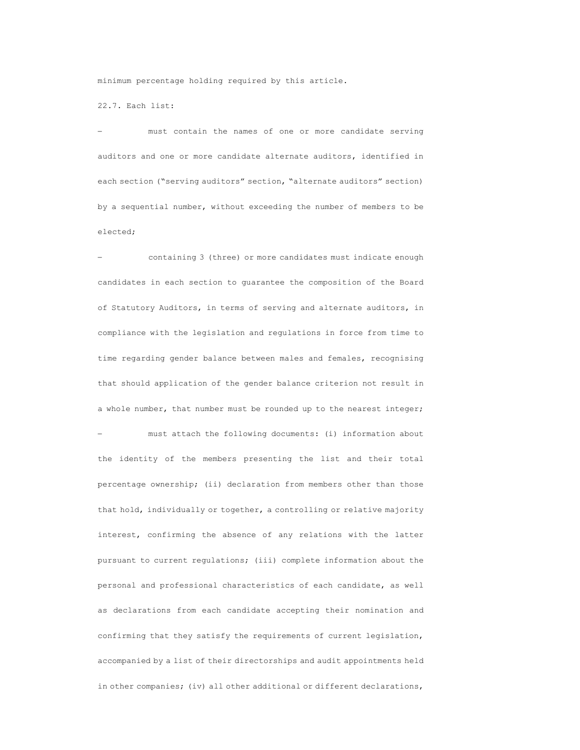minimum percentage holding required by this article.

22.7. Each list:

 must contain the names of one or more candidate serving auditors and one or more candidate alternate auditors, identified in each section ("serving auditors" section, "alternate auditors" section) by a sequential number, without exceeding the number of members to be elected;

 containing 3 (three) or more candidates must indicate enough candidates in each section to guarantee the composition of the Board of Statutory Auditors, in terms of serving and alternate auditors, in compliance with the legislation and regulations in force from time to time regarding gender balance between males and females, recognising that should application of the gender balance criterion not result in a whole number, that number must be rounded up to the nearest integer; must attach the following documents: (i) information about the identity of the members presenting the list and their total percentage ownership; (ii) declaration from members other than those that hold, individually or together, a controlling or relative majority interest, confirming the absence of any relations with the latter pursuant to current regulations; (iii) complete information about the personal and professional characteristics of each candidate, as well as declarations from each candidate accepting their nomination and confirming that they satisfy the requirements of current legislation, accompanied by a list of their directorships and audit appointments held in other companies; (iv) all other additional or different declarations,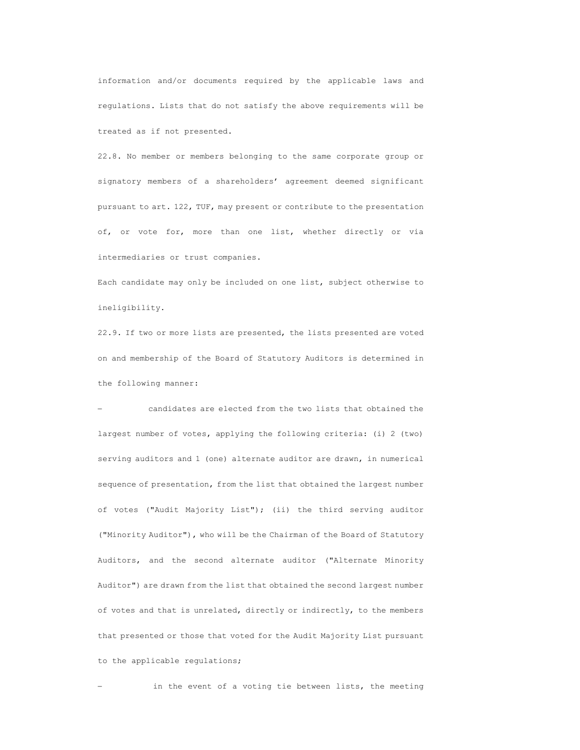information and/or documents required by the applicable laws and regulations. Lists that do not satisfy the above requirements will be treated as if not presented.

22.8. No member or members belonging to the same corporate group or signatory members of a shareholders' agreement deemed significant pursuant to art. 122, TUF, may present or contribute to the presentation of, or vote for, more than one list, whether directly or via intermediaries or trust companies.

Each candidate may only be included on one list, subject otherwise to ineligibility.

22.9. If two or more lists are presented, the lists presented are voted on and membership of the Board of Statutory Auditors is determined in the following manner:

 candidates are elected from the two lists that obtained the largest number of votes, applying the following criteria: (i) 2 (two) serving auditors and 1 (one) alternate auditor are drawn, in numerical sequence of presentation, from the list that obtained the largest number of votes ("Audit Majority List"); (ii) the third serving auditor ("Minority Auditor"), who will be the Chairman of the Board of Statutory Auditors, and the second alternate auditor ("Alternate Minority Auditor") are drawn from the list that obtained the second largest number of votes and that is unrelated, directly or indirectly, to the members that presented or those that voted for the Audit Majority List pursuant to the applicable regulations;

in the event of a voting tie between lists, the meeting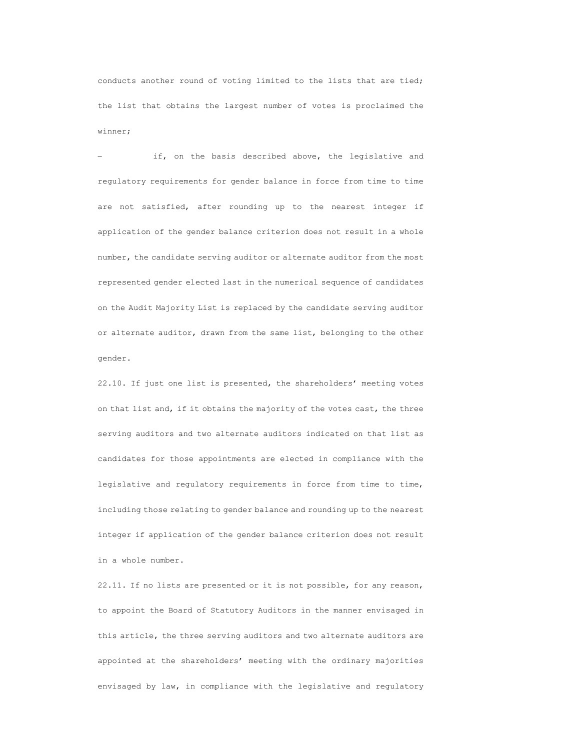conducts another round of voting limited to the lists that are tied; the list that obtains the largest number of votes is proclaimed the winner;

 if, on the basis described above, the legislative and regulatory requirements for gender balance in force from time to time are not satisfied, after rounding up to the nearest integer if application of the gender balance criterion does not result in a whole number, the candidate serving auditor or alternate auditor from the most represented gender elected last in the numerical sequence of candidates on the Audit Majority List is replaced by the candidate serving auditor or alternate auditor, drawn from the same list, belonging to the other gender.

22.10. If just one list is presented, the shareholders' meeting votes on that list and, if it obtains the majority of the votes cast, the three serving auditors and two alternate auditors indicated on that list as candidates for those appointments are elected in compliance with the legislative and regulatory requirements in force from time to time, including those relating to gender balance and rounding up to the nearest integer if application of the gender balance criterion does not result in a whole number.

22.11. If no lists are presented or it is not possible, for any reason, to appoint the Board of Statutory Auditors in the manner envisaged in this article, the three serving auditors and two alternate auditors are appointed at the shareholders' meeting with the ordinary majorities envisaged by law, in compliance with the legislative and regulatory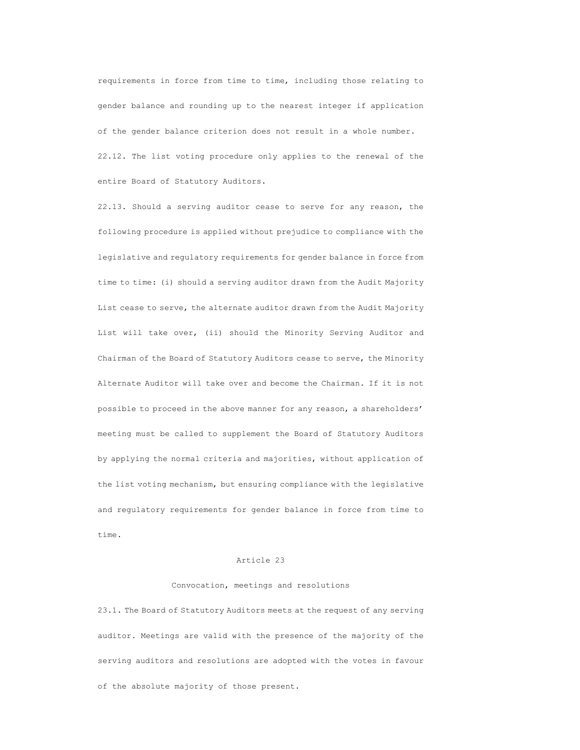requirements in force from time to time, including those relating to gender balance and rounding up to the nearest integer if application of the gender balance criterion does not result in a whole number. 22.12. The list voting procedure only applies to the renewal of the entire Board of Statutory Auditors.

22.13. Should a serving auditor cease to serve for any reason, the following procedure is applied without prejudice to compliance with the legislative and regulatory requirements for gender balance in force from time to time: (i) should a serving auditor drawn from the Audit Majority List cease to serve, the alternate auditor drawn from the Audit Majority List will take over, (ii) should the Minority Serving Auditor and Chairman of the Board of Statutory Auditors cease to serve, the Minority Alternate Auditor will take over and become the Chairman. If it is not possible to proceed in the above manner for any reason, a shareholders' meeting must be called to supplement the Board of Statutory Auditors by applying the normal criteria and majorities, without application of the list voting mechanism, but ensuring compliance with the legislative and regulatory requirements for gender balance in force from time to time.

#### Article 23

### Convocation, meetings and resolutions

23.1. The Board of Statutory Auditors meets at the request of any serving auditor. Meetings are valid with the presence of the majority of the serving auditors and resolutions are adopted with the votes in favour of the absolute majority of those present.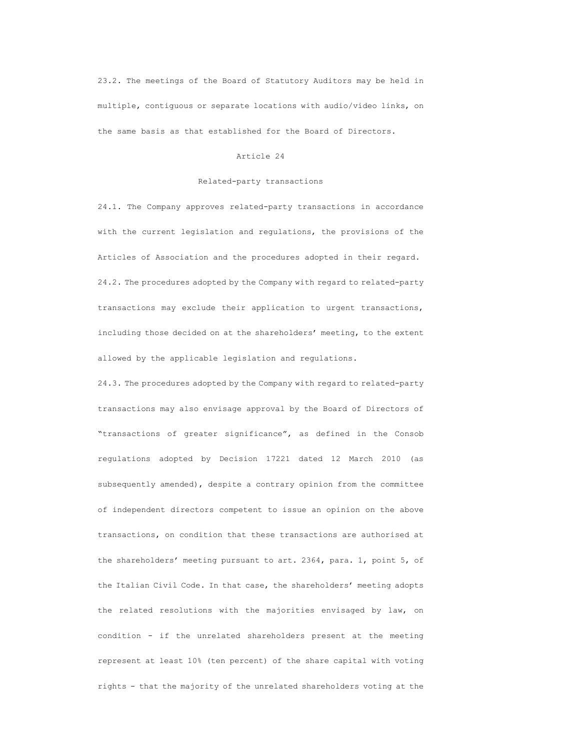23.2. The meetings of the Board of Statutory Auditors may be held in multiple, contiguous or separate locations with audio/video links, on the same basis as that established for the Board of Directors.

## Article 24

## Related-party transactions

24.1. The Company approves related-party transactions in accordance with the current legislation and regulations, the provisions of the Articles of Association and the procedures adopted in their regard. 24.2. The procedures adopted by the Company with regard to related-party transactions may exclude their application to urgent transactions, including those decided on at the shareholders' meeting, to the extent allowed by the applicable legislation and regulations.

24.3. The procedures adopted by the Company with regard to related-party transactions may also envisage approval by the Board of Directors of "transactions of greater significance", as defined in the Consob regulations adopted by Decision 17221 dated 12 March 2010 (as subsequently amended), despite a contrary opinion from the committee of independent directors competent to issue an opinion on the above transactions, on condition that these transactions are authorised at the shareholders' meeting pursuant to art. 2364, para. 1, point 5, of the Italian Civil Code. In that case, the shareholders' meeting adopts the related resolutions with the majorities envisaged by law, on condition - if the unrelated shareholders present at the meeting represent at least 10% (ten percent) of the share capital with voting rights - that the majority of the unrelated shareholders voting at the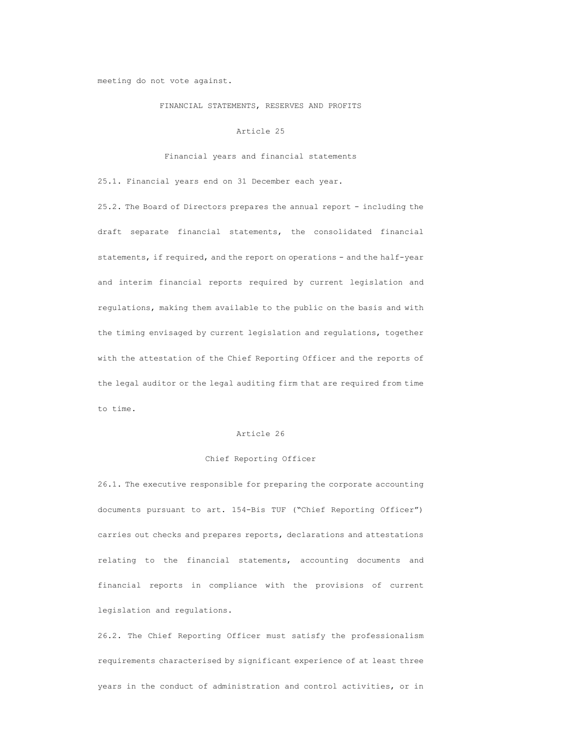### meeting do not vote against.

## FINANCIAL STATEMENTS, RESERVES AND PROFITS

# Article 25

### Financial years and financial statements

25.1. Financial years end on 31 December each year.

25.2. The Board of Directors prepares the annual report - including the draft separate financial statements, the consolidated financial statements, if required, and the report on operations - and the half-year and interim financial reports required by current legislation and regulations, making them available to the public on the basis and with the timing envisaged by current legislation and regulations, together with the attestation of the Chief Reporting Officer and the reports of the legal auditor or the legal auditing firm that are required from time to time.

# Article 26

### Chief Reporting Officer

26.1. The executive responsible for preparing the corporate accounting documents pursuant to art. 154-Bis TUF ("Chief Reporting Officer") carries out checks and prepares reports, declarations and attestations relating to the financial statements, accounting documents and financial reports in compliance with the provisions of current legislation and regulations.

26.2. The Chief Reporting Officer must satisfy the professionalism requirements characterised by significant experience of at least three years in the conduct of administration and control activities, or in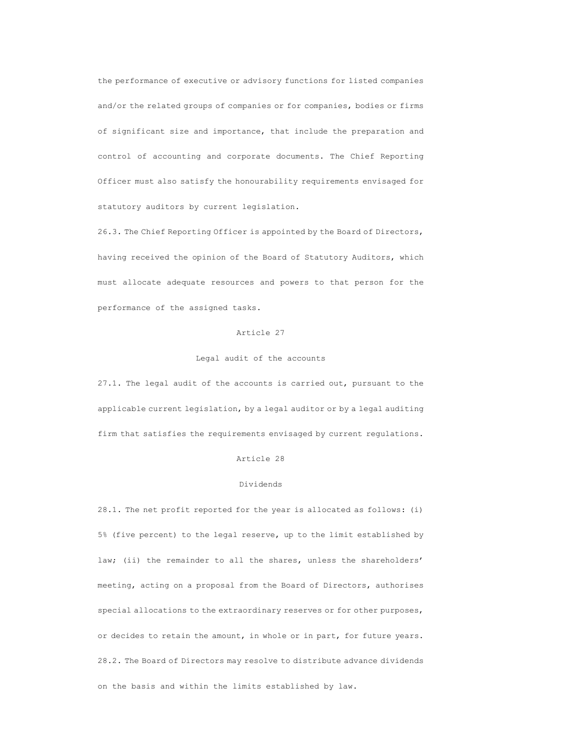the performance of executive or advisory functions for listed companies and/or the related groups of companies or for companies, bodies or firms of significant size and importance, that include the preparation and control of accounting and corporate documents. The Chief Reporting Officer must also satisfy the honourability requirements envisaged for statutory auditors by current legislation.

26.3. The Chief Reporting Officer is appointed by the Board of Directors, having received the opinion of the Board of Statutory Auditors, which must allocate adequate resources and powers to that person for the performance of the assigned tasks.

# Article 27

# Legal audit of the accounts

27.1. The legal audit of the accounts is carried out, pursuant to the applicable current legislation, by a legal auditor or by a legal auditing firm that satisfies the requirements envisaged by current regulations.

# Article 28

## Dividends

28.1. The net profit reported for the year is allocated as follows: (i) 5% (five percent) to the legal reserve, up to the limit established by law; (ii) the remainder to all the shares, unless the shareholders' meeting, acting on a proposal from the Board of Directors, authorises special allocations to the extraordinary reserves or for other purposes, or decides to retain the amount, in whole or in part, for future years. 28.2. The Board of Directors may resolve to distribute advance dividends on the basis and within the limits established by law.